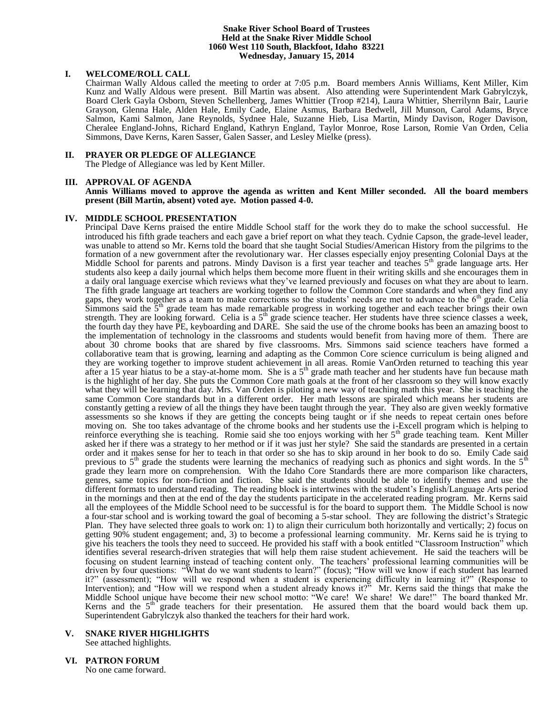#### **Snake River School Board of Trustees Held at the Snake River Middle School 1060 West 110 South, Blackfoot, Idaho 83221 Wednesday, January 15, 2014**

### **I. WELCOME/ROLL CALL**

Chairman Wally Aldous called the meeting to order at 7:05 p.m. Board members Annis Williams, Kent Miller, Kim Kunz and Wally Aldous were present. Bill Martin was absent. Also attending were Superintendent Mark Gabrylczyk, Board Clerk Gayla Osborn, Steven Schellenberg, James Whittier (Troop #214), Laura Whittier, Sherrilynn Bair, Laurie Grayson, Glenna Hale, Alden Hale, Emily Cade, Elaine Asmus, Barbara Bedwell, Jill Munson, Carol Adams, Bryce Salmon, Kami Salmon, Jane Reynolds, Sydnee Hale, Suzanne Hieb, Lisa Martin, Mindy Davison, Roger Davison, Cheralee England-Johns, Richard England, Kathryn England, Taylor Monroe, Rose Larson, Romie Van Orden, Celia Simmons, Dave Kerns, Karen Sasser, Galen Sasser, and Lesley Mielke (press).

## **II. PRAYER OR PLEDGE OF ALLEGIANCE**

The Pledge of Allegiance was led by Kent Miller.

### **III. APPROVAL OF AGENDA**

**Annis Williams moved to approve the agenda as written and Kent Miller seconded. All the board members present (Bill Martin, absent) voted aye. Motion passed 4-0.**

## **IV. MIDDLE SCHOOL PRESENTATION**

Principal Dave Kerns praised the entire Middle School staff for the work they do to make the school successful. He introduced his fifth grade teachers and each gave a brief report on what they teach. Cydnie Capson, the grade-level leader, was unable to attend so Mr. Kerns told the board that she taught Social Studies/American History from the pilgrims to the formation of a new government after the revolutionary war. Her classes especially enjoy presenting Colonial Days at the Middle School for parents and patrons. Mindy Davison is a first year teacher and teaches 5<sup>th</sup> grade language arts. Her students also keep a daily journal which helps them become more fluent in their writing skills and she encourages them in a daily oral language exercise which reviews what they've learned previously and focuses on what they are about to learn. The fifth grade language art teachers are working together to follow the Common Core standards and when they find any gaps, they work together as a team to make corrections so the students' needs are met to advance to the  $6<sup>th</sup>$  grade. Celia Simmons said the  $5<sup>th</sup>$  grade team has made remarkable progress in working together and each teacher brings their own strength. They are looking forward. Celia is a  $5<sup>th</sup>$  grade science teacher. Her students have three science classes a week, the fourth day they have PE, keyboarding and DARE. She said the use of the chrome books has been an amazing boost to the implementation of technology in the classrooms and students would benefit from having more of them. There are about 30 chrome books that are shared by five classrooms. Mrs. Simmons said science teachers have formed a collaborative team that is growing, learning and adapting as the Common Core science curriculum is being aligned and they are working together to improve student achievement in all areas. Romie VanOrden returned to teaching this year after a 15 year hiatus to be a stay-at-home mom. She is a  $5<sup>th</sup>$  grade math teacher and her students have fun because math is the highlight of her day. She puts the Common Core math goals at the front of her classroom so they will know exactly what they will be learning that day. Mrs. Van Orden is piloting a new way of teaching math this year. She is teaching the same Common Core standards but in a different order. Her math lessons are spiraled which means her students are constantly getting a review of all the things they have been taught through the year. They also are given weekly formative assessments so she knows if they are getting the concepts being taught or if she needs to repeat certain ones before moving on. She too takes advantage of the chrome books and her students use the i-Excell program which is helping to reinforce everything she is teaching. Romie said she too enjoys working with her  $5<sup>th</sup>$  grade teaching team. Kent Miller asked her if there was a strategy to her method or if it was just her style? She said the standards are presented in a certain order and it makes sense for her to teach in that order so she has to skip around in her book to do so. Emily Cade said previous to  $5<sup>th</sup>$  grade the students were learning the mechanics of readying such as phonics and sight words. In the  $5<sup>th</sup>$ grade they learn more on comprehension. With the Idaho Core Standards there are more comparison like characters, genres, same topics for non-fiction and fiction. She said the students should be able to identify themes and use the different formats to understand reading. The reading block is intertwines with the student's English/Language Arts period in the mornings and then at the end of the day the students participate in the accelerated reading program. Mr. Kerns said all the employees of the Middle School need to be successful is for the board to support them. The Middle School is now a four-star school and is working toward the goal of becoming a 5-star school. They are following the district's Strategic Plan. They have selected three goals to work on: 1) to align their curriculum both horizontally and vertically; 2) focus on getting 90% student engagement; and, 3) to become a professional learning community. Mr. Kerns said he is trying to give his teachers the tools they need to succeed. He provided his staff with a book entitled "Classroom Instruction" which identifies several research-driven strategies that will help them raise student achievement. He said the teachers will be focusing on student learning instead of teaching content only. The teachers' professional learning communities will be driven by four questions: "What do we want students to learn?" (focus); "How will we know if each student has learned it?" (assessment); "How will we respond when a student is experiencing difficulty in learning it?" (Response to Intervention); and "How will we respond when a student already knows it?" Mr. Kerns said the things that make the Middle School unique have become their new school motto: "We care! We share! We dare!" The board thanked Mr. Kerns and the  $5<sup>th</sup>$  grade teachers for their presentation. He assured them that the board would back them up. Superintendent Gabrylczyk also thanked the teachers for their hard work.

## **V. SNAKE RIVER HIGHLIGHTS**

See attached highlights.

### **VI. PATRON FORUM**

No one came forward.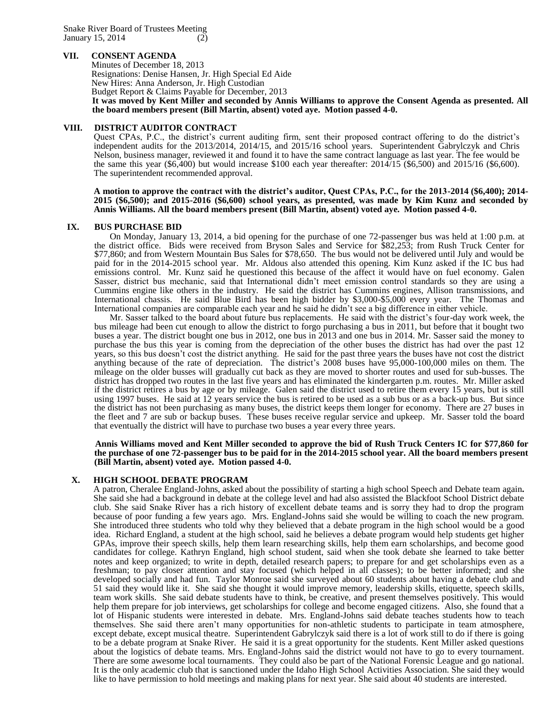## **VII. CONSENT AGENDA**

Minutes of December 18, 2013 Resignations: Denise Hansen, Jr. High Special Ed Aide New Hires: Anna Anderson, Jr. High Custodian Budget Report & Claims Payable for December, 2013

**It was moved by Kent Miller and seconded by Annis Williams to approve the Consent Agenda as presented. All the board members present (Bill Martin, absent) voted aye. Motion passed 4-0.**

## **VIII. DISTRICT AUDITOR CONTRACT**

Quest CPAs, P.C., the district's current auditing firm, sent their proposed contract offering to do the district's independent audits for the 2013/2014, 2014/15, and 2015/16 school years. Superintendent Gabrylczyk and Chris Nelson, business manager, reviewed it and found it to have the same contract language as last year. The fee would be the same this year (\$6,400) but would increase \$100 each year thereafter: 2014/15 (\$6,500) and 2015/16 (\$6,600). The superintendent recommended approval.

**A motion to approve the contract with the district's auditor, Quest CPAs, P.C., for the 2013-2014 (\$6,400); 2014- 2015 (\$6,500); and 2015-2016 (\$6,600) school years, as presented, was made by Kim Kunz and seconded by Annis Williams. All the board members present (Bill Martin, absent) voted aye. Motion passed 4-0.**

## **IX. BUS PURCHASE BID**

On Monday, January 13, 2014, a bid opening for the purchase of one 72-passenger bus was held at 1:00 p.m. at the district office. Bids were received from Bryson Sales and Service for \$82,253; from Rush Truck Center for \$77,860; and from Western Mountain Bus Sales for \$78,650. The bus would not be delivered until July and would be paid for in the 2014-2015 school year. Mr. Aldous also attended this opening. Kim Kunz asked if the IC bus had emissions control. Mr. Kunz said he questioned this because of the affect it would have on fuel economy. Galen Sasser, district bus mechanic, said that International didn't meet emission control standards so they are using a Cummins engine like others in the industry. He said the district has Cummins engines, Allison transmissions, and International chassis. He said Blue Bird has been high bidder by \$3,000-\$5,000 every year. The Thomas and International companies are comparable each year and he said he didn't see a big difference in either vehicle.

Mr. Sasser talked to the board about future bus replacements. He said with the district's four-day work week, the bus mileage had been cut enough to allow the district to forgo purchasing a bus in 2011, but before that it bought two buses a year. The district bought one bus in 2012, one bus in 2013 and one bus in 2014. Mr. Sasser said the money to purchase the bus this year is coming from the depreciation of the other buses the district has had over the past 12 years, so this bus doesn't cost the district anything. He said for the past three years the buses have not cost the district anything because of the rate of depreciation. The district's 2008 buses have 95,000-100,000 miles on them. The mileage on the older busses will gradually cut back as they are moved to shorter routes and used for sub-busses. The district has dropped two routes in the last five years and has eliminated the kindergarten p.m. routes. Mr. Miller asked if the district retires a bus by age or by mileage. Galen said the district used to retire them every 15 years, but is still using 1997 buses. He said at 12 years service the bus is retired to be used as a sub bus or as a back-up bus. But since the district has not been purchasing as many buses, the district keeps them longer for economy. There are 27 buses in the fleet and 7 are sub or backup buses. These buses receive regular service and upkeep. Mr. Sasser told the board that eventually the district will have to purchase two buses a year every three years.

**Annis Williams moved and Kent Miller seconded to approve the bid of Rush Truck Centers IC for \$77,860 for the purchase of one 72-passenger bus to be paid for in the 2014-2015 school year. All the board members present (Bill Martin, absent) voted aye. Motion passed 4-0.**

## **X. HIGH SCHOOL DEBATE PROGRAM**

A patron, Cheralee England-Johns, asked about the possibility of starting a high school Speech and Debate team again**.** She said she had a background in debate at the college level and had also assisted the Blackfoot School District debate club. She said Snake River has a rich history of excellent debate teams and is sorry they had to drop the program because of poor funding a few years ago. Mrs. England-Johns said she would be willing to coach the new program. She introduced three students who told why they believed that a debate program in the high school would be a good idea. Richard England, a student at the high school, said he believes a debate program would help students get higher GPAs, improve their speech skills, help them learn researching skills, help them earn scholarships, and become good candidates for college. Kathryn England, high school student, said when she took debate she learned to take better notes and keep organized; to write in depth, detailed research papers; to prepare for and get scholarships even as a freshman; to pay closer attention and stay focused (which helped in all classes); to be better informed; and she developed socially and had fun. Taylor Monroe said she surveyed about 60 students about having a debate club and 51 said they would like it. She said she thought it would improve memory, leadership skills, etiquette, speech skills, team work skills. She said debate students have to think, be creative, and present themselves positively. This would help them prepare for job interviews, get scholarships for college and become engaged citizens. Also, she found that a lot of Hispanic students were interested in debate. Mrs. England-Johns said debate teaches students how to teach themselves. She said there aren't many opportunities for non-athletic students to participate in team atmosphere, except debate, except musical theatre. Superintendent Gabrylczyk said there is a lot of work still to do if there is going to be a debate program at Snake River. He said it is a great opportunity for the students. Kent Miller asked questions about the logistics of debate teams. Mrs. England-Johns said the district would not have to go to every tournament. There are some awesome local tournaments. They could also be part of the National Forensic League and go national. It is the only academic club that is sanctioned under the Idaho High School Activities Association. She said they would like to have permission to hold meetings and making plans for next year. She said about 40 students are interested.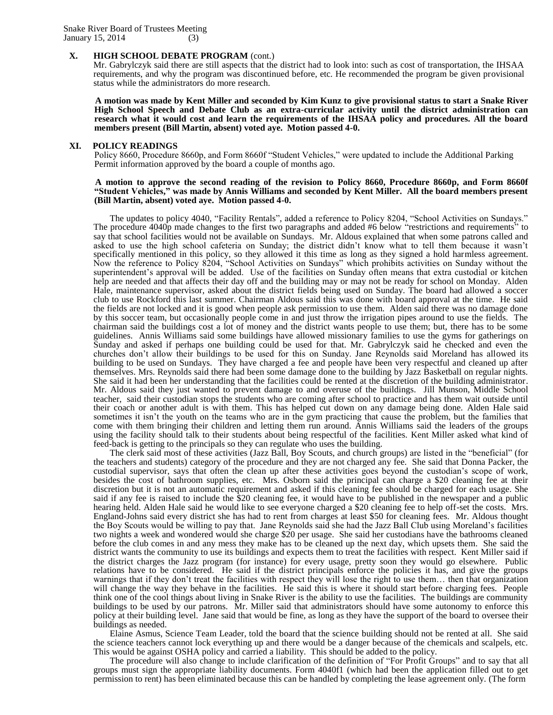#### **X. HIGH SCHOOL DEBATE PROGRAM** (cont.)

Mr. Gabrylczyk said there are still aspects that the district had to look into: such as cost of transportation, the IHSAA requirements, and why the program was discontinued before, etc. He recommended the program be given provisional status while the administrators do more research.

**A motion was made by Kent Miller and seconded by Kim Kunz to give provisional status to start a Snake River High School Speech and Debate Club as an extra-curricular activity until the district administration can research what it would cost and learn the requirements of the IHSAA policy and procedures. All the board members present (Bill Martin, absent) voted aye. Motion passed 4-0.**

#### **XI. POLICY READINGS**

Policy 8660, Procedure 8660p, and Form 8660f "Student Vehicles," were updated to include the Additional Parking Permit information approved by the board a couple of months ago.

#### **A motion to approve the second reading of the revision to Policy 8660, Procedure 8660p, and Form 8660f "Student Vehicles," was made by Annis Williams and seconded by Kent Miller. All the board members present (Bill Martin, absent) voted aye. Motion passed 4-0.**

The updates to policy 4040, "Facility Rentals", added a reference to Policy 8204, "School Activities on Sundays." The procedure 4040p made changes to the first two paragraphs and added #6 below "restrictions and requirements" to say that school facilities would not be available on Sundays. Mr. Aldous explained that when some patrons called and asked to use the high school cafeteria on Sunday; the district didn't know what to tell them because it wasn't specifically mentioned in this policy, so they allowed it this time as long as they signed a hold harmless agreement. Now the reference to Policy 8204, "School Activities on Sundays" which prohibits activities on Sunday without the superintendent's approval will be added. Use of the facilities on Sunday often means that extra custodial or kitchen help are needed and that affects their day off and the building may or may not be ready for school on Monday. Alden Hale, maintenance supervisor, asked about the district fields being used on Sunday. The board had allowed a soccer club to use Rockford this last summer. Chairman Aldous said this was done with board approval at the time. He said the fields are not locked and it is good when people ask permission to use them. Alden said there was no damage done by this soccer team, but occasionally people come in and just throw the irrigation pipes around to use the fields. The chairman said the buildings cost a lot of money and the district wants people to use them; but, there has to be some guidelines. Annis Williams said some buildings have allowed missionary families to use the gyms for gatherings on Sunday and asked if perhaps one building could be used for that. Mr. Gabrylczyk said he checked and even the churches don't allow their buildings to be used for this on Sunday. Jane Reynolds said Moreland has allowed its building to be used on Sundays. They have charged a fee and people have been very respectful and cleaned up after themselves. Mrs. Reynolds said there had been some damage done to the building by Jazz Basketball on regular nights. She said it had been her understanding that the facilities could be rented at the discretion of the building administrator. Mr. Aldous said they just wanted to prevent damage to and overuse of the buildings. Jill Munson, Middle School teacher, said their custodian stops the students who are coming after school to practice and has them wait outside until their coach or another adult is with them. This has helped cut down on any damage being done. Alden Hale said sometimes it isn't the youth on the teams who are in the gym practicing that cause the problem, but the families that come with them bringing their children and letting them run around. Annis Williams said the leaders of the groups using the facility should talk to their students about being respectful of the facilities. Kent Miller asked what kind of feed-back is getting to the principals so they can regulate who uses the building.

The clerk said most of these activities (Jazz Ball, Boy Scouts, and church groups) are listed in the "beneficial" (for the teachers and students) category of the procedure and they are not charged any fee. She said that Donna Packer, the custodial supervisor, says that often the clean up after these activities goes beyond the custodian's scope of work, besides the cost of bathroom supplies, etc. Mrs. Osborn said the principal can charge a \$20 cleaning fee at their discretion but it is not an automatic requirement and asked if this cleaning fee should be charged for each usage. She said if any fee is raised to include the \$20 cleaning fee, it would have to be published in the newspaper and a public hearing held. Alden Hale said he would like to see everyone charged a \$20 cleaning fee to help off-set the costs. Mrs. England-Johns said every district she has had to rent from charges at least \$50 for cleaning fees. Mr. Aldous thought the Boy Scouts would be willing to pay that. Jane Reynolds said she had the Jazz Ball Club using Moreland's facilities two nights a week and wondered would she charge \$20 per usage. She said her custodians have the bathrooms cleaned before the club comes in and any mess they make has to be cleaned up the next day, which upsets them. She said the district wants the community to use its buildings and expects them to treat the facilities with respect. Kent Miller said if the district charges the Jazz program (for instance) for every usage, pretty soon they would go elsewhere. Public relations have to be considered. He said if the district principals enforce the policies it has, and give the groups warnings that if they don't treat the facilities with respect they will lose the right to use them... then that organization will change the way they behave in the facilities. He said this is where it should start before charging fees. People think one of the cool things about living in Snake River is the ability to use the facilities. The buildings are community buildings to be used by our patrons. Mr. Miller said that administrators should have some autonomy to enforce this policy at their building level. Jane said that would be fine, as long as they have the support of the board to oversee their buildings as needed.

Elaine Asmus, Science Team Leader, told the board that the science building should not be rented at all. She said the science teachers cannot lock everything up and there would be a danger because of the chemicals and scalpels, etc. This would be against OSHA policy and carried a liability. This should be added to the policy.

The procedure will also change to include clarification of the definition of "For Profit Groups" and to say that all groups must sign the appropriate liability documents. Form 4040f1 (which had been the application filled out to get permission to rent) has been eliminated because this can be handled by completing the lease agreement only. (The form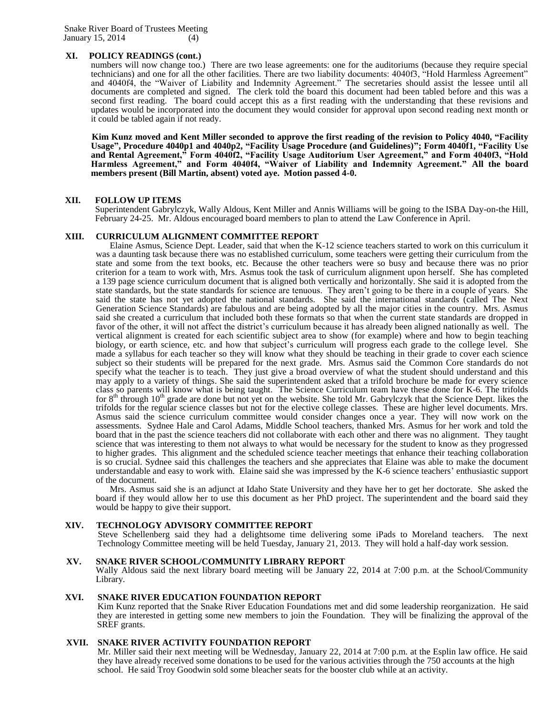Snake River Board of Trustees Meeting January 15, 2014 (4)

# **XI. POLICY READINGS (cont.)**

numbers will now change too.) There are two lease agreements: one for the auditoriums (because they require special technicians) and one for all the other facilities. There are two liability documents: 4040f3, "Hold Harmless Agreement" and 4040f4, the "Waiver of Liability and Indemnity Agreement." The secretaries should assist the lessee until all documents are completed and signed. The clerk told the board this document had been tabled before and this was a second first reading. The board could accept this as a first reading with the understanding that these revisions and updates would be incorporated into the document they would consider for approval upon second reading next month or it could be tabled again if not ready.

**Kim Kunz moved and Kent Miller seconded to approve the first reading of the revision to Policy 4040, "Facility Usage", Procedure 4040p1 and 4040p2, "Facility Usage Procedure (and Guidelines)"; Form 4040f1, "Facility Use and Rental Agreement," Form 4040f2, "Facility Usage Auditorium User Agreement," and Form 4040f3, "Hold Harmless Agreement," and Form 4040f4, "Waiver of Liability and Indemnity Agreement." All the board members present (Bill Martin, absent) voted aye. Motion passed 4-0.**

## **XII. FOLLOW UP ITEMS**

Superintendent Gabrylczyk, Wally Aldous, Kent Miller and Annis Williams will be going to the ISBA Day-on-the Hill, February 24-25. Mr. Aldous encouraged board members to plan to attend the Law Conference in April.

### **XIII. CURRICULUM ALIGNMENT COMMITTEE REPORT**

Elaine Asmus, Science Dept. Leader, said that when the K-12 science teachers started to work on this curriculum it was a daunting task because there was no established curriculum, some teachers were getting their curriculum from the state and some from the text books, etc. Because the other teachers were so busy and because there was no prior criterion for a team to work with, Mrs. Asmus took the task of curriculum alignment upon herself. She has completed a 139 page science curriculum document that is aligned both vertically and horizontally. She said it is adopted from the state standards, but the state standards for science are tenuous. They aren't going to be there in a couple of years. She said the state has not yet adopted the national standards. She said the international standards (called The Next Generation Science Standards) are fabulous and are being adopted by all the major cities in the country. Mrs. Asmus said she created a curriculum that included both these formats so that when the current state standards are dropped in favor of the other, it will not affect the district's curriculum because it has already been aligned nationally as well. The vertical alignment is created for each scientific subject area to show (for example) where and how to begin teaching biology, or earth science, etc. and how that subject's curriculum will progress each grade to the college level. She made a syllabus for each teacher so they will know what they should be teaching in their grade to cover each science subject so their students will be prepared for the next grade. Mrs. Asmus said the Common Core standards do not specify what the teacher is to teach. They just give a broad overview of what the student should understand and this may apply to a variety of things. She said the superintendent asked that a trifold brochure be made for every science class so parents will know what is being taught. The Science Curriculum team have these done for K-6. The trifolds for  $8<sup>th</sup>$  through  $10<sup>th</sup>$  grade are done but not yet on the website. She told Mr. Gabrylczyk that the Science Dept. likes the trifolds for the regular science classes but not for the elective college classes. These are higher level documents. Mrs. Asmus said the science curriculum committee would consider changes once a year. They will now work on the assessments. Sydnee Hale and Carol Adams, Middle School teachers, thanked Mrs. Asmus for her work and told the board that in the past the science teachers did not collaborate with each other and there was no alignment. They taught science that was interesting to them not always to what would be necessary for the student to know as they progressed to higher grades. This alignment and the scheduled science teacher meetings that enhance their teaching collaboration is so crucial. Sydnee said this challenges the teachers and she appreciates that Elaine was able to make the document understandable and easy to work with. Elaine said she was impressed by the K-6 science teachers' enthusiastic support of the document.

Mrs. Asmus said she is an adjunct at Idaho State University and they have her to get her doctorate. She asked the board if they would allow her to use this document as her PhD project. The superintendent and the board said they would be happy to give their support.

### **XIV. TECHNOLOGY ADVISORY COMMITTEE REPORT**

Steve Schellenberg said they had a delightsome time delivering some iPads to Moreland teachers. The next Technology Committee meeting will be held Tuesday, January 21, 2013. They will hold a half-day work session.

# **XV. SNAKE RIVER SCHOOL/COMMUNITY LIBRARY REPORT**

Wally Aldous said the next library board meeting will be January 22, 2014 at 7:00 p.m. at the School/Community Library.

### **XVI. SNAKE RIVER EDUCATION FOUNDATION REPORT**

Kim Kunz reported that the Snake River Education Foundations met and did some leadership reorganization. He said they are interested in getting some new members to join the Foundation. They will be finalizing the approval of the SREF grants.

## **XVII. SNAKE RIVER ACTIVITY FOUNDATION REPORT**

Mr. Miller said their next meeting will be Wednesday, January 22, 2014 at 7:00 p.m. at the Esplin law office. He said they have already received some donations to be used for the various activities through the 750 accounts at the high school. He said Troy Goodwin sold some bleacher seats for the booster club while at an activity.